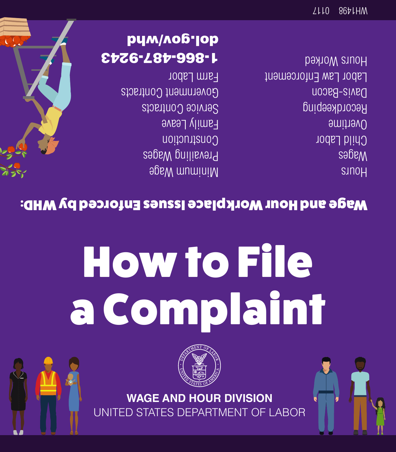



## How to File a Complaint

## Wage and Hour Workplace Issues Enforced by WHD:

Minimum Wage Prevailing Wages Construction Family Leave Service Contracts Government Contracts Farm Labor

1-866-487-9243 pym/no6.lop

sunou Wages Child Labor Overtime Recordkeeping Davis-Bacon Labor Law Enforcement Hours Worked

/LLO 86tLHM